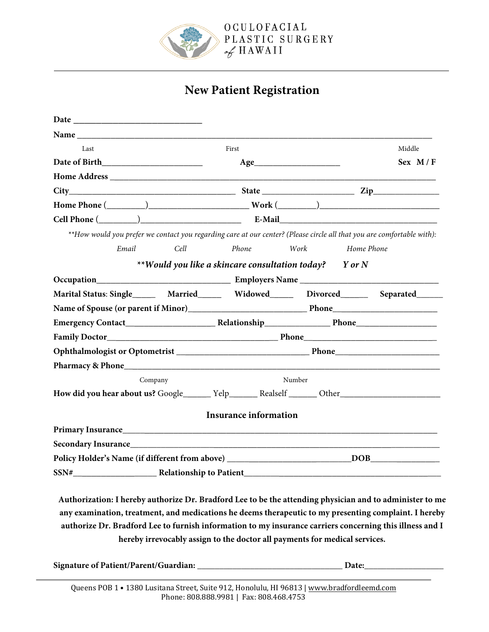

# **New Patient Registration**

| Name                                                                                                                   |         |                                                        |        |            |             |
|------------------------------------------------------------------------------------------------------------------------|---------|--------------------------------------------------------|--------|------------|-------------|
| Last                                                                                                                   |         | First                                                  |        |            | Middle      |
|                                                                                                                        |         | Age                                                    |        |            | $Sex$ $M/F$ |
|                                                                                                                        |         |                                                        |        |            |             |
| $City$ $City$ $Zip$ $Step$                                                                                             |         |                                                        |        |            |             |
|                                                                                                                        |         |                                                        |        |            |             |
|                                                                                                                        |         |                                                        |        |            |             |
| **How would you prefer we contact you regarding care at our center? (Please circle all that you are comfortable with): |         |                                                        |        |            |             |
| Email                                                                                                                  | Cell    | Phone                                                  | Work   | Home Phone |             |
|                                                                                                                        |         | **Would you like a skincare consultation today? Y or N |        |            |             |
|                                                                                                                        |         |                                                        |        |            |             |
| Marital Status: Single Married Married Midowed Divorced Separated                                                      |         |                                                        |        |            |             |
| Name of Spouse (or parent if Minor) Phone Phone                                                                        |         |                                                        |        |            |             |
|                                                                                                                        |         |                                                        |        |            |             |
|                                                                                                                        |         |                                                        |        |            |             |
|                                                                                                                        |         |                                                        |        |            |             |
|                                                                                                                        |         |                                                        |        |            |             |
|                                                                                                                        | Company |                                                        | Number |            |             |
| How did you hear about us? Google______ Yelp______ Realself ______ Other____________________________                   |         |                                                        |        |            |             |
|                                                                                                                        |         | <b>Insurance information</b>                           |        |            |             |
| Primary Insurance https://www.com/communications/communications/communications/communications/communications/c         |         |                                                        |        |            |             |
|                                                                                                                        |         |                                                        |        |            |             |
|                                                                                                                        |         |                                                        |        |            |             |
|                                                                                                                        |         |                                                        |        |            |             |

**Authorization: I hereby authorize Dr. Bradford Lee to be the attending physician and to administer to me any examination, treatment, and medications he deems therapeutic to my presenting complaint. I hereby authorize Dr. Bradford Lee to furnish information to my insurance carriers concerning this illness and I hereby irrevocably assign to the doctor all payments for medical services.** 

| Signature of Patient/Parent/Guardian: | <b>Date:</b> |
|---------------------------------------|--------------|
|---------------------------------------|--------------|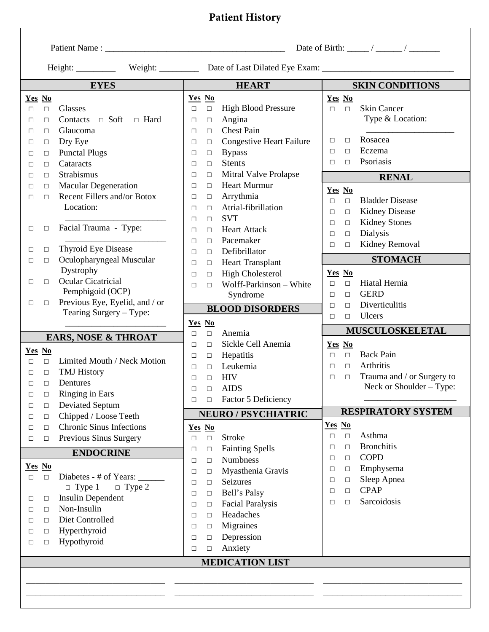# **Patient History**

|                                                                                                                                                                                                                                                                                                                                                                                                                                           | <b>HEART</b>                                                                                                                                                                                                                                                                                                                                                                                                                                                                                  | <b>SKIN CONDITIONS</b>                                                                                                                                                                                                                                                                                                   |
|-------------------------------------------------------------------------------------------------------------------------------------------------------------------------------------------------------------------------------------------------------------------------------------------------------------------------------------------------------------------------------------------------------------------------------------------|-----------------------------------------------------------------------------------------------------------------------------------------------------------------------------------------------------------------------------------------------------------------------------------------------------------------------------------------------------------------------------------------------------------------------------------------------------------------------------------------------|--------------------------------------------------------------------------------------------------------------------------------------------------------------------------------------------------------------------------------------------------------------------------------------------------------------------------|
| <b>EYES</b><br>Yes No<br>Glasses<br>$\Box$<br>$\Box$<br>$\Box$ Hard<br>Contacts $\Box$ Soft<br>$\Box$<br>□<br>Glaucoma<br>□<br>□<br>Dry Eye<br>$\Box$<br>$\Box$<br><b>Punctal Plugs</b><br>$\Box$<br>$\Box$<br>Cataracts<br>$\Box$<br>$\Box$<br>Strabismus<br>$\Box$<br>$\Box$<br><b>Macular Degeneration</b><br>$\Box$<br>$\Box$<br>Recent Fillers and/or Botox<br>□<br>$\Box$<br>Location:<br>Facial Trauma - Type:<br>$\Box$<br>$\Box$ | Yes No<br><b>High Blood Pressure</b><br>$\Box$<br>$\Box$<br>Angina<br>$\Box$<br>$\Box$<br><b>Chest Pain</b><br>$\Box$<br>□<br><b>Congestive Heart Failure</b><br>$\Box$<br>$\Box$<br><b>Bypass</b><br>$\Box$<br>$\Box$<br><b>Stents</b><br>□<br>$\Box$<br>Mitral Valve Prolapse<br>$\Box$<br>$\Box$<br><b>Heart Murmur</b><br>$\Box$<br>□<br>Arrythmia<br>$\Box$<br>$\Box$<br>Atrial-fibrillation<br>$\Box$<br>$\Box$<br><b>SVT</b><br>$\Box$<br>$\Box$<br><b>Heart Attack</b><br>$\Box$<br>□ | Yes No<br><b>Skin Cancer</b><br>$\Box$ $\Box$<br>Type & Location:<br>Rosacea<br>□<br>□<br>Eczema<br>$\Box$<br>$\Box$<br>Psoriasis<br>$\Box$<br>$\Box$<br><b>RENAL</b><br>Yes No<br><b>Bladder Disease</b><br>$\Box$<br>$\Box$<br><b>Kidney Disease</b><br>$\Box$<br>$\Box$<br>$\Box$ Kidney Stones<br>$\Box$<br>Dialysis |
| Thyroid Eye Disease<br>$\Box$<br>□<br>Oculopharyngeal Muscular<br>$\Box$<br>□<br>Dystrophy<br>Ocular Cicatricial<br>$\Box$<br>$\Box$<br>Pemphigoid (OCP)<br>Previous Eye, Eyelid, and / or<br>$\Box$<br>$\Box$<br>Tearing Surgery - Type:                                                                                                                                                                                                 | Pacemaker<br>$\Box$<br>$\Box$<br>Defibrillator<br>$\Box$<br>$\Box$<br><b>Heart Transplant</b><br>$\Box$<br>$\Box$<br><b>High Cholesterol</b><br>□<br>$\Box$<br>Wolff-Parkinson - White<br>$\Box$<br>□<br>Syndrome<br><b>BLOOD DISORDERS</b>                                                                                                                                                                                                                                                   | $\Box$<br>$\Box$<br>Kidney Removal<br>$\Box$<br>$\Box$<br><b>STOMACH</b><br>Yes No<br>Hiatal Hernia<br>$\Box$<br>$\Box$<br><b>GERD</b><br>$\Box$<br>$\Box$<br>Diverticulitis<br>$\Box$<br>$\Box$<br>Ulcers<br>$\Box$<br>$\Box$                                                                                           |
|                                                                                                                                                                                                                                                                                                                                                                                                                                           | Yes No<br>Anemia<br>$\Box$<br>$\Box$                                                                                                                                                                                                                                                                                                                                                                                                                                                          | MUSCULOSKELETAL                                                                                                                                                                                                                                                                                                          |
| <b>EARS, NOSE &amp; THROAT</b><br>Yes No<br>Limited Mouth / Neck Motion<br>$\Box$<br>$\Box$<br><b>TMJ</b> History<br>$\Box$<br>$\Box$<br>Dentures<br>$\Box$<br>$\Box$<br><b>Ringing in Ears</b><br>$\Box$<br>$\Box$                                                                                                                                                                                                                       | Sickle Cell Anemia<br>$\Box$<br>□<br>Hepatitis<br>$\Box$<br>$\Box$<br>Leukemia<br>$\Box$<br>$\Box$<br><b>HIV</b><br>$\Box$<br>□<br><b>AIDS</b><br>$\Box$<br>$\Box$<br>Factor 5 Deficiency<br>$\Box$<br>$\Box$                                                                                                                                                                                                                                                                                 | <u>Yes</u> No<br><b>Back Pain</b><br>$\Box$<br>$\Box$<br>Arthritis<br>$\Box$<br>$\Box$<br>Trauma and / or Surgery to<br>$\Box$<br>$\Box$<br>Neck or Shoulder - Type:                                                                                                                                                     |
| <b>Deviated Septum</b><br>$\Box$<br>□<br>Chipped / Loose Teeth<br>$\Box$                                                                                                                                                                                                                                                                                                                                                                  | <b>NEURO / PSYCHIATRIC</b>                                                                                                                                                                                                                                                                                                                                                                                                                                                                    | <b>RESPIRATORY SYSTEM</b>                                                                                                                                                                                                                                                                                                |
| $\Box$<br><b>Chronic Sinus Infections</b><br>□<br>$\Box$<br>Previous Sinus Surgery<br>$\Box$<br>$\Box$                                                                                                                                                                                                                                                                                                                                    | Yes No<br>Stroke<br>$\Box$<br>$\Box$<br><b>Fainting Spells</b><br>$\Box$<br>□                                                                                                                                                                                                                                                                                                                                                                                                                 | <b>Yes</b> No<br>Asthma<br>$\Box$<br>$\Box$<br><b>Bronchitis</b><br>$\Box$<br>$\Box$                                                                                                                                                                                                                                     |
| <b>ENDOCRINE</b>                                                                                                                                                                                                                                                                                                                                                                                                                          | <b>Numbness</b><br>$\Box$<br>□                                                                                                                                                                                                                                                                                                                                                                                                                                                                | <b>COPD</b><br>$\Box$<br>□                                                                                                                                                                                                                                                                                               |
| Yes No<br>Diabetes - # of Years:<br>$\Box$<br>$\Box$<br>$\Box$ Type 2<br>$\Box$ Type 1<br><b>Insulin Dependent</b><br>$\Box$<br>$\Box$<br>Non-Insulin<br>$\Box$<br>□<br>Diet Controlled<br>□<br>$\Box$<br>Hyperthyroid<br>$\Box$<br>$\Box$<br>Hypothyroid<br>$\Box$<br>$\Box$                                                                                                                                                             | Myasthenia Gravis<br>$\Box$<br>$\Box$<br>Seizures<br>$\Box$<br>$\Box$<br>Bell's Palsy<br>$\Box$<br>$\Box$<br><b>Facial Paralysis</b><br>$\Box$<br>□<br>Headaches<br>$\Box$<br>$\Box$<br>Migraines<br>$\Box$<br>□<br>Depression<br>$\Box$<br>□<br>Anxiety<br>$\Box$<br>$\Box$                                                                                                                                                                                                                  | Emphysema<br>$\Box$<br>$\Box$<br>Sleep Apnea<br>$\Box$<br>□<br><b>CPAP</b><br>$\Box$<br>$\Box$<br>Sarcoidosis<br>$\Box$<br>□                                                                                                                                                                                             |
|                                                                                                                                                                                                                                                                                                                                                                                                                                           | <b>MEDICATION LIST</b>                                                                                                                                                                                                                                                                                                                                                                                                                                                                        |                                                                                                                                                                                                                                                                                                                          |
|                                                                                                                                                                                                                                                                                                                                                                                                                                           |                                                                                                                                                                                                                                                                                                                                                                                                                                                                                               |                                                                                                                                                                                                                                                                                                                          |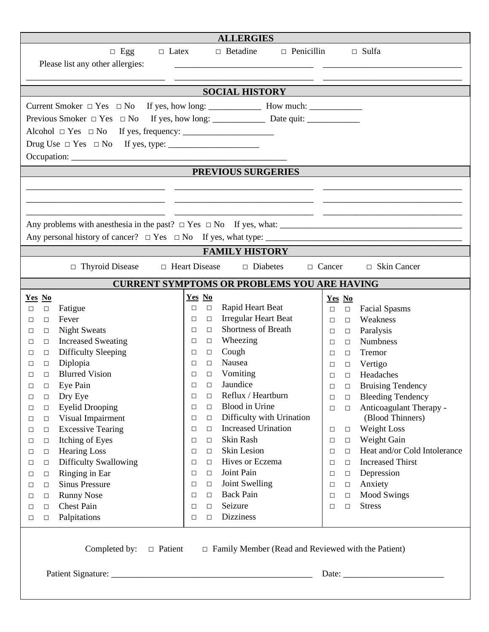| <b>ALLERGIES</b>                                                                                                                                                                                                                                                                                                                                                                                                                                                                                                                                                                                                                                                                                                                                                                                                  |                                                                                                                                                                                                                                                                                                                                                                                                                                                                                                                                                                                                                                                                                                                                                                                             |                                                                                                                                                                                                                                                                                                                                                                                                                                                                                                                                                                                                                                                                                                                                                   |  |
|-------------------------------------------------------------------------------------------------------------------------------------------------------------------------------------------------------------------------------------------------------------------------------------------------------------------------------------------------------------------------------------------------------------------------------------------------------------------------------------------------------------------------------------------------------------------------------------------------------------------------------------------------------------------------------------------------------------------------------------------------------------------------------------------------------------------|---------------------------------------------------------------------------------------------------------------------------------------------------------------------------------------------------------------------------------------------------------------------------------------------------------------------------------------------------------------------------------------------------------------------------------------------------------------------------------------------------------------------------------------------------------------------------------------------------------------------------------------------------------------------------------------------------------------------------------------------------------------------------------------------|---------------------------------------------------------------------------------------------------------------------------------------------------------------------------------------------------------------------------------------------------------------------------------------------------------------------------------------------------------------------------------------------------------------------------------------------------------------------------------------------------------------------------------------------------------------------------------------------------------------------------------------------------------------------------------------------------------------------------------------------------|--|
| $\Box$ Egg<br>$\Box$ Latex<br>Please list any other allergies:                                                                                                                                                                                                                                                                                                                                                                                                                                                                                                                                                                                                                                                                                                                                                    | $\Box$ Betadine<br>$\Box$ Penicillin                                                                                                                                                                                                                                                                                                                                                                                                                                                                                                                                                                                                                                                                                                                                                        | $\Box$ Sulfa                                                                                                                                                                                                                                                                                                                                                                                                                                                                                                                                                                                                                                                                                                                                      |  |
|                                                                                                                                                                                                                                                                                                                                                                                                                                                                                                                                                                                                                                                                                                                                                                                                                   | <b>SOCIAL HISTORY</b>                                                                                                                                                                                                                                                                                                                                                                                                                                                                                                                                                                                                                                                                                                                                                                       |                                                                                                                                                                                                                                                                                                                                                                                                                                                                                                                                                                                                                                                                                                                                                   |  |
|                                                                                                                                                                                                                                                                                                                                                                                                                                                                                                                                                                                                                                                                                                                                                                                                                   |                                                                                                                                                                                                                                                                                                                                                                                                                                                                                                                                                                                                                                                                                                                                                                                             |                                                                                                                                                                                                                                                                                                                                                                                                                                                                                                                                                                                                                                                                                                                                                   |  |
|                                                                                                                                                                                                                                                                                                                                                                                                                                                                                                                                                                                                                                                                                                                                                                                                                   | PREVIOUS SURGERIES                                                                                                                                                                                                                                                                                                                                                                                                                                                                                                                                                                                                                                                                                                                                                                          |                                                                                                                                                                                                                                                                                                                                                                                                                                                                                                                                                                                                                                                                                                                                                   |  |
|                                                                                                                                                                                                                                                                                                                                                                                                                                                                                                                                                                                                                                                                                                                                                                                                                   |                                                                                                                                                                                                                                                                                                                                                                                                                                                                                                                                                                                                                                                                                                                                                                                             |                                                                                                                                                                                                                                                                                                                                                                                                                                                                                                                                                                                                                                                                                                                                                   |  |
|                                                                                                                                                                                                                                                                                                                                                                                                                                                                                                                                                                                                                                                                                                                                                                                                                   | <b>FAMILY HISTORY</b>                                                                                                                                                                                                                                                                                                                                                                                                                                                                                                                                                                                                                                                                                                                                                                       |                                                                                                                                                                                                                                                                                                                                                                                                                                                                                                                                                                                                                                                                                                                                                   |  |
| $\Box$ Thyroid Disease                                                                                                                                                                                                                                                                                                                                                                                                                                                                                                                                                                                                                                                                                                                                                                                            | $\Box$ Heart Disease<br>$\Box$ Diabetes                                                                                                                                                                                                                                                                                                                                                                                                                                                                                                                                                                                                                                                                                                                                                     | $\Box$ Cancer<br>$\Box$ Skin Cancer                                                                                                                                                                                                                                                                                                                                                                                                                                                                                                                                                                                                                                                                                                               |  |
|                                                                                                                                                                                                                                                                                                                                                                                                                                                                                                                                                                                                                                                                                                                                                                                                                   | <b>CURRENT SYMPTOMS OR PROBLEMS YOU ARE HAVING</b>                                                                                                                                                                                                                                                                                                                                                                                                                                                                                                                                                                                                                                                                                                                                          |                                                                                                                                                                                                                                                                                                                                                                                                                                                                                                                                                                                                                                                                                                                                                   |  |
| <b>Yes</b> No<br>Fatigue<br>$\Box$<br>□<br>Fever<br>$\Box$<br>□<br><b>Night Sweats</b><br>$\Box$<br>□<br><b>Increased Sweating</b><br>$\Box$<br>□<br><b>Difficulty Sleeping</b><br>$\Box$<br>$\Box$<br>Diplopia<br>$\Box$<br>□<br><b>Blurred Vision</b><br>$\Box$<br>$\Box$<br>Eye Pain<br>$\Box$<br>$\Box$<br>Dry Eye<br>$\Box$<br>$\Box$<br><b>Eyelid Drooping</b><br>$\Box$<br>$\Box$<br>Visual Impairment<br>$\Box$<br>$\Box$<br><b>Excessive Tearing</b><br>$\Box$<br>$\Box$<br>Itching of Eyes<br>$\Box$<br>□<br><b>Hearing Loss</b><br>$\Box$<br>$\Box$<br><b>Difficulty Swallowing</b><br>$\Box$<br>$\Box$<br>Ringing in Ear<br>$\Box$<br>□<br><b>Sinus Pressure</b><br>$\Box$<br>$\Box$<br><b>Runny Nose</b><br>$\Box$<br>$\Box$<br><b>Chest Pain</b><br>$\Box$<br>□<br>Palpitations<br>$\Box$<br>$\Box$ | <b>Yes</b> No<br>Rapid Heart Beat<br>$\Box$<br>$\Box$<br>Irregular Heart Beat<br>$\Box$<br>$\Box$<br><b>Shortness of Breath</b><br>$\Box$<br>$\Box$<br>Wheezing<br>$\Box$<br>$\Box$<br>Cough<br>$\Box$<br>$\Box$<br>Nausea<br>$\Box$<br>$\Box$<br>Vomiting<br>$\Box$<br>$\Box$<br>Jaundice<br>$\Box$<br>$\Box$<br>Reflux / Heartburn<br>$\Box$<br>□<br><b>Blood</b> in Urine<br>$\Box$<br>$\Box$<br>Difficulty with Urination<br>$\Box$<br>$\Box$<br><b>Increased Urination</b><br>$\Box$<br>□<br>Skin Rash<br>□<br>$\Box$<br>Skin Lesion<br>$\Box$<br>$\Box$<br>Hives or Eczema<br>$\Box$<br>$\Box$<br>Joint Pain<br>$\Box$<br>$\Box$<br>Joint Swelling<br>$\Box$<br>$\Box$<br><b>Back Pain</b><br>$\Box$<br>$\Box$<br>Seizure<br>$\Box$<br>$\Box$<br><b>Dizziness</b><br>$\Box$<br>$\Box$ | Yes No<br><b>Facial Spasms</b><br>$\Box$<br>$\Box$<br>Weakness<br>$\Box$<br>$\Box$<br>Paralysis<br>$\Box$<br>$\Box$<br><b>Numbness</b><br>$\Box$<br>$\Box$<br>Tremor<br>$\Box$<br>$\Box$<br>Vertigo<br>$\Box$<br>$\Box$<br>Headaches<br>$\Box$<br>$\Box$<br><b>Bruising Tendency</b><br>$\Box$<br>$\Box$<br><b>Bleeding Tendency</b><br>□<br>□<br>Anticoagulant Therapy -<br>$\Box$<br>$\Box$<br>(Blood Thinners)<br><b>Weight Loss</b><br>$\Box$<br>$\Box$<br>Weight Gain<br>$\Box$<br>$\Box$<br>Heat and/or Cold Intolerance<br>$\Box$<br>$\Box$<br><b>Increased Thirst</b><br>$\Box$<br>$\Box$<br>Depression<br>$\Box$<br>$\Box$<br>Anxiety<br>$\Box$<br>$\Box$<br><b>Mood Swings</b><br>$\Box$<br>$\Box$<br><b>Stress</b><br>$\Box$<br>$\Box$ |  |
| Completed by:<br>$\Box$ Family Member (Read and Reviewed with the Patient)<br>$\Box$ Patient                                                                                                                                                                                                                                                                                                                                                                                                                                                                                                                                                                                                                                                                                                                      |                                                                                                                                                                                                                                                                                                                                                                                                                                                                                                                                                                                                                                                                                                                                                                                             |                                                                                                                                                                                                                                                                                                                                                                                                                                                                                                                                                                                                                                                                                                                                                   |  |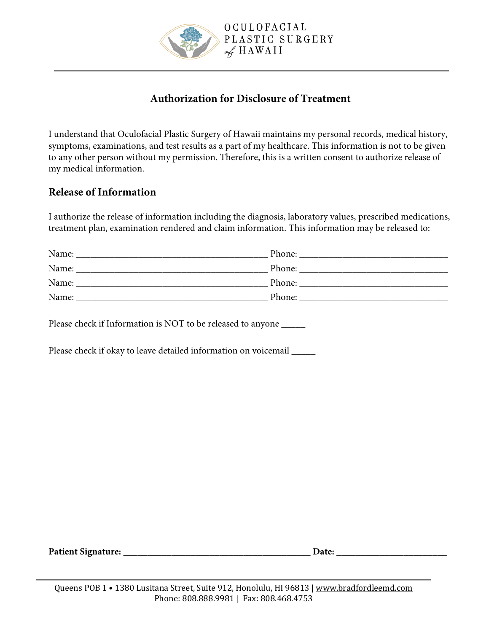

## **Authorization for Disclosure of Treatment**

I understand that Oculofacial Plastic Surgery of Hawaii maintains my personal records, medical history, symptoms, examinations, and test results as a part of my healthcare. This information is not to be given to any other person without my permission. Therefore, this is a written consent to authorize release of my medical information.

### **Release of Information**

I authorize the release of information including the diagnosis, laboratory values, prescribed medications, treatment plan, examination rendered and claim information. This information may be released to:

| Name: | Phone: |
|-------|--------|
|       |        |
| Name: | Phone: |
|       |        |
| Name: | Phone: |
|       |        |
| Name: | Phone: |
|       |        |

Please check if Information is NOT to be released to anyone \_\_\_\_\_\_

Please check if okay to leave detailed information on voicemail \_\_\_\_\_

**Patient Signature:** \_\_\_\_\_\_\_\_\_\_\_\_\_\_\_\_\_\_\_\_\_\_\_\_\_\_\_\_\_\_\_\_\_\_\_\_\_\_\_ **Date:** \_\_\_\_\_\_\_\_\_\_\_\_\_\_\_\_\_\_\_\_\_\_\_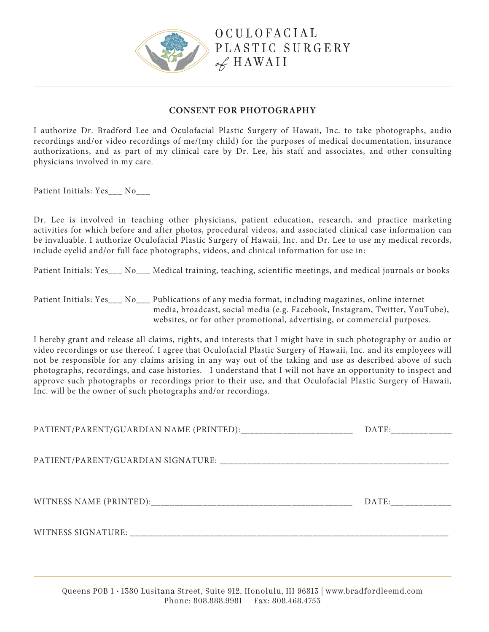

### **CONSENT FOR PHOTOGRAPHY**

of HAWAII

OCULOFACIAL

PLASTIC SURGERY

I authorize Dr. Bradford Lee and Oculofacial Plastic Surgery of Hawaii, Inc. to take photographs, audio recordings and/or video recordings of me/(my child) for the purposes of medical documentation, insurance authorizations, and as part of my clinical care by Dr. Lee, his staff and associates, and other consulting physicians involved in my care.

Patient Initials: Yes\_\_\_ No\_\_\_

Dr. Lee is involved in teaching other physicians, patient education, research, and practice marketing activities for which before and after photos, procedural videos, and associated clinical case information can be invaluable. I authorize Oculofacial Plastic Surgery of Hawaii, Inc. and Dr. Lee to use my medical records, include eyelid and/or full face photographs, videos, and clinical information for use in:

Patient Initials: Yes\_\_\_ No\_\_\_ Medical training, teaching, scientific meetings, and medical journals or books

Patient Initials: Yes\_\_\_ No\_\_\_ Publications of any media format, including magazines, online internet media, broadcast, social media (e.g. Facebook, Instagram, Twitter, YouTube), websites, or for other promotional, advertising, or commercial purposes.

I hereby grant and release all claims, rights, and interests that I might have in such photography or audio or video recordings or use thereof. I agree that Oculofacial Plastic Surgery of Hawaii, Inc. and its employees will not be responsible for any claims arising in any way out of the taking and use as described above of such photographs, recordings, and case histories. I understand that I will not have an opportunity to inspect and approve such photographs or recordings prior to their use, and that Oculofacial Plastic Surgery of Hawaii, Inc. will be the owner of such photographs and/or recordings.

| DATE: |
|-------|
|       |
| DATE: |
|       |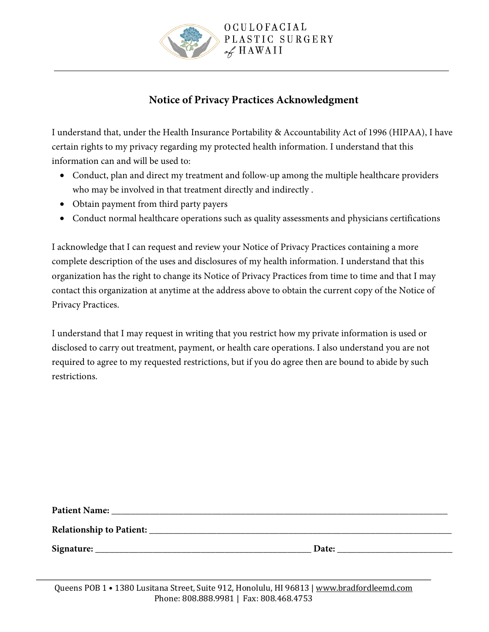

## **Notice of Privacy Practices Acknowledgment**

I understand that, under the Health Insurance Portability & Accountability Act of 1996 (HIPAA), I have certain rights to my privacy regarding my protected health information. I understand that this information can and will be used to:

- Conduct, plan and direct my treatment and follow-up among the multiple healthcare providers who may be involved in that treatment directly and indirectly .
- Obtain payment from third party payers
- Conduct normal healthcare operations such as quality assessments and physicians certifications

I acknowledge that I can request and review your Notice of Privacy Practices containing a more complete description of the uses and disclosures of my health information. I understand that this organization has the right to change its Notice of Privacy Practices from time to time and that I may contact this organization at anytime at the address above to obtain the current copy of the Notice of Privacy Practices.

I understand that I may request in writing that you restrict how my private information is used or disclosed to carry out treatment, payment, or health care operations. I also understand you are not required to agree to my requested restrictions, but if you do agree then are bound to abide by such restrictions.

| <b>Patient Name:</b>            |       |
|---------------------------------|-------|
| <b>Relationship to Patient:</b> |       |
| Signature:                      | Date: |